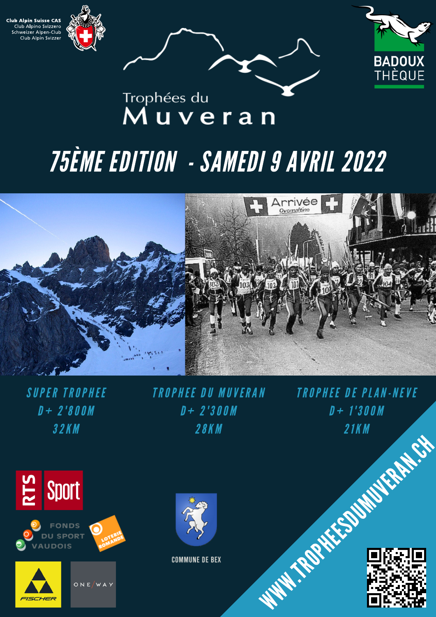





## Trophées du Muveran

## 75ÈME EDITION - SAMEDI 9 AVRIL 2022



SUPER TROPHEE  $D + 2'800M$ 32K M





ONE WAY

TROPHEE DU MUVERAN  $D + 2'300M$ 28K M

TROPHEE DE PLAN-NEVE  $D + 1'300M$ 21K M



**COMMUNE DE BEX**